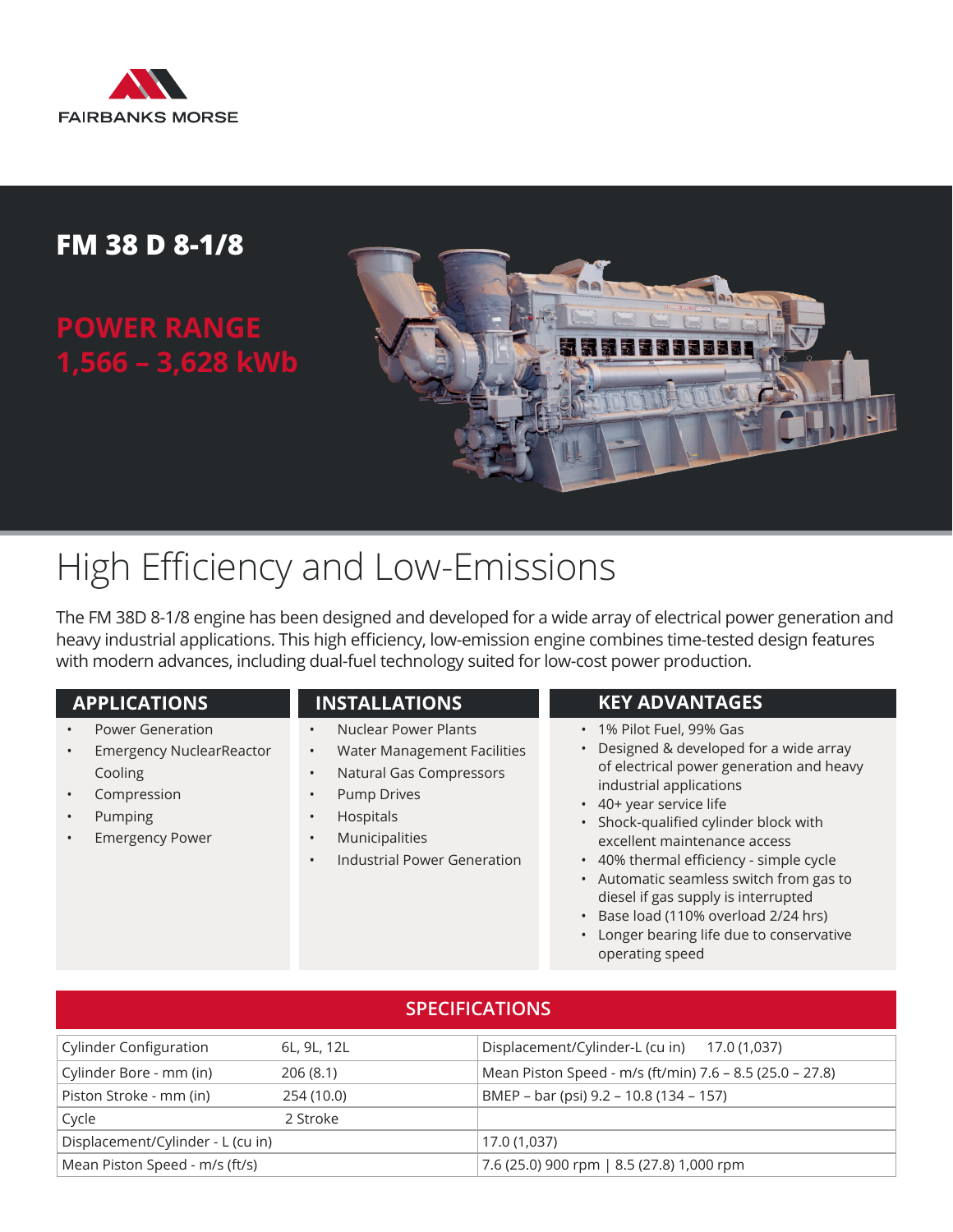

### **FM 38 D 8-1/8**

## **POWER RANGE 1,566 – 3,628 kWb**



# High Efficiency and Low-Emissions

The FM 38D 8-1/8 engine has been designed and developed for a wide array of electrical power generation and heavy industrial applications. This high efficiency, low-emission engine combines time-tested design features with modern advances, including dual-fuel technology suited for low-cost power production.

- Power Generation
- Emergency NuclearReactor Cooling
- **Compression**
- Pumping
- **Emergency Power**
- Nuclear Power Plants
- Water Management Facilities
- Natural Gas Compressors
- Pump Drives
- Hospitals
- **Municipalities**
- Industrial Power Generation

### **APPLICATIONS INSTALLATIONS KEY ADVANTAGES**

- 1% Pilot Fuel, 99% Gas
- Designed & developed for a wide array of electrical power generation and heavy industrial applications
- 40+ year service life
- Shock-qualified cylinder block with excellent maintenance access
- 40% thermal efficiency simple cycle
- Automatic seamless switch from gas to diesel if gas supply is interrupted
- Base load (110% overload 2/24 hrs)
- Longer bearing life due to conservative operating speed

| <b>SPECIFICATIONS</b>             |             |                                                          |  |  |  |  |
|-----------------------------------|-------------|----------------------------------------------------------|--|--|--|--|
| <b>Cylinder Configuration</b>     | 6L, 9L, 12L | Displacement/Cylinder-L (cu in) 17.0 (1,037)             |  |  |  |  |
| Cylinder Bore - mm (in)           | 206(8.1)    | Mean Piston Speed - m/s (ft/min) 7.6 - 8.5 (25.0 - 27.8) |  |  |  |  |
| Piston Stroke - mm (in)           | 254 (10.0)  | BMEP - bar (psi) 9.2 - 10.8 (134 - 157)                  |  |  |  |  |
| Cycle                             | 2 Stroke    |                                                          |  |  |  |  |
| Displacement/Cylinder - L (cu in) |             | 17.0 (1,037)                                             |  |  |  |  |
| Mean Piston Speed - m/s (ft/s)    |             | 7.6 (25.0) 900 rpm   8.5 (27.8) 1,000 rpm                |  |  |  |  |